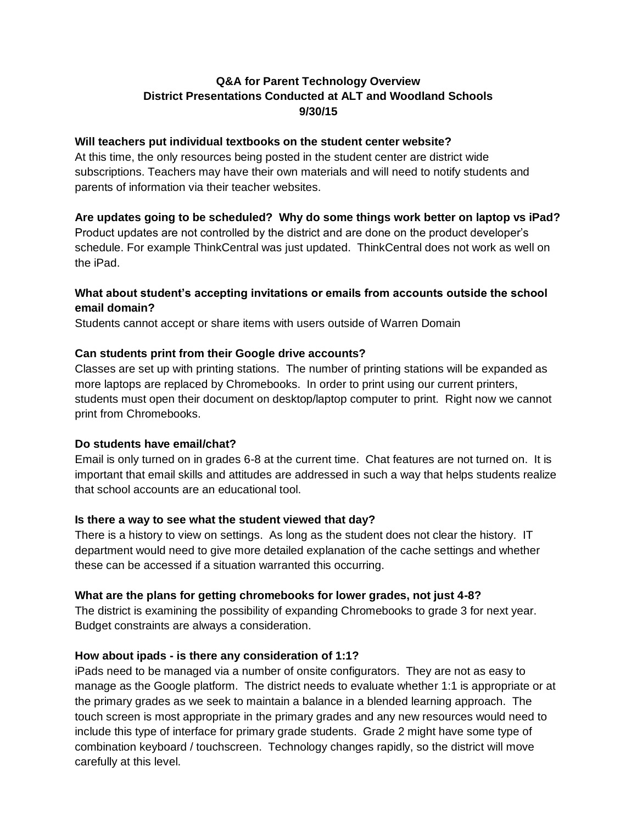# **Q&A for Parent Technology Overview District Presentations Conducted at ALT and Woodland Schools 9/30/15**

#### **Will teachers put individual textbooks on the student center website?**

At this time, the only resources being posted in the student center are district wide subscriptions. Teachers may have their own materials and will need to notify students and parents of information via their teacher websites.

#### **Are updates going to be scheduled? Why do some things work better on laptop vs iPad?**

Product updates are not controlled by the district and are done on the product developer's schedule. For example ThinkCentral was just updated. ThinkCentral does not work as well on the iPad.

### **What about student's accepting invitations or emails from accounts outside the school email domain?**

Students cannot accept or share items with users outside of Warren Domain

#### **Can students print from their Google drive accounts?**

Classes are set up with printing stations. The number of printing stations will be expanded as more laptops are replaced by Chromebooks. In order to print using our current printers, students must open their document on desktop/laptop computer to print. Right now we cannot print from Chromebooks.

#### **Do students have email/chat?**

Email is only turned on in grades 6-8 at the current time. Chat features are not turned on. It is important that email skills and attitudes are addressed in such a way that helps students realize that school accounts are an educational tool.

#### **Is there a way to see what the student viewed that day?**

There is a history to view on settings. As long as the student does not clear the history. IT department would need to give more detailed explanation of the cache settings and whether these can be accessed if a situation warranted this occurring.

#### **What are the plans for getting chromebooks for lower grades, not just 4-8?**

The district is examining the possibility of expanding Chromebooks to grade 3 for next year. Budget constraints are always a consideration.

#### **How about ipads - is there any consideration of 1:1?**

iPads need to be managed via a number of onsite configurators. They are not as easy to manage as the Google platform. The district needs to evaluate whether 1:1 is appropriate or at the primary grades as we seek to maintain a balance in a blended learning approach. The touch screen is most appropriate in the primary grades and any new resources would need to include this type of interface for primary grade students. Grade 2 might have some type of combination keyboard / touchscreen. Technology changes rapidly, so the district will move carefully at this level.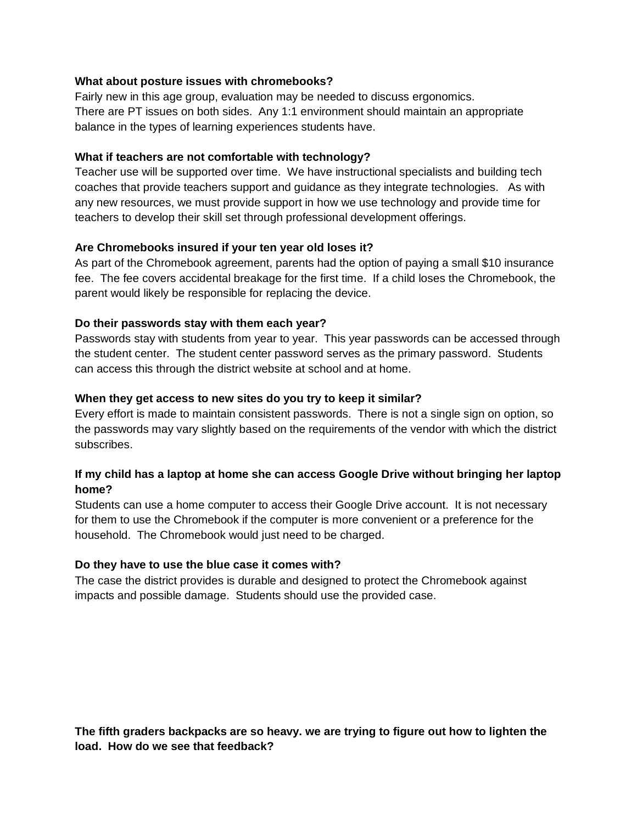#### **What about posture issues with chromebooks?**

Fairly new in this age group, evaluation may be needed to discuss ergonomics. There are PT issues on both sides. Any 1:1 environment should maintain an appropriate balance in the types of learning experiences students have.

#### **What if teachers are not comfortable with technology?**

Teacher use will be supported over time. We have instructional specialists and building tech coaches that provide teachers support and guidance as they integrate technologies. As with any new resources, we must provide support in how we use technology and provide time for teachers to develop their skill set through professional development offerings.

#### **Are Chromebooks insured if your ten year old loses it?**

As part of the Chromebook agreement, parents had the option of paying a small \$10 insurance fee. The fee covers accidental breakage for the first time. If a child loses the Chromebook, the parent would likely be responsible for replacing the device.

#### **Do their passwords stay with them each year?**

Passwords stay with students from year to year. This year passwords can be accessed through the student center. The student center password serves as the primary password. Students can access this through the district website at school and at home.

#### **When they get access to new sites do you try to keep it similar?**

Every effort is made to maintain consistent passwords. There is not a single sign on option, so the passwords may vary slightly based on the requirements of the vendor with which the district subscribes.

## **If my child has a laptop at home she can access Google Drive without bringing her laptop home?**

Students can use a home computer to access their Google Drive account. It is not necessary for them to use the Chromebook if the computer is more convenient or a preference for the household. The Chromebook would just need to be charged.

#### **Do they have to use the blue case it comes with?**

The case the district provides is durable and designed to protect the Chromebook against impacts and possible damage. Students should use the provided case.

**The fifth graders backpacks are so heavy. we are trying to figure out how to lighten the load. How do we see that feedback?**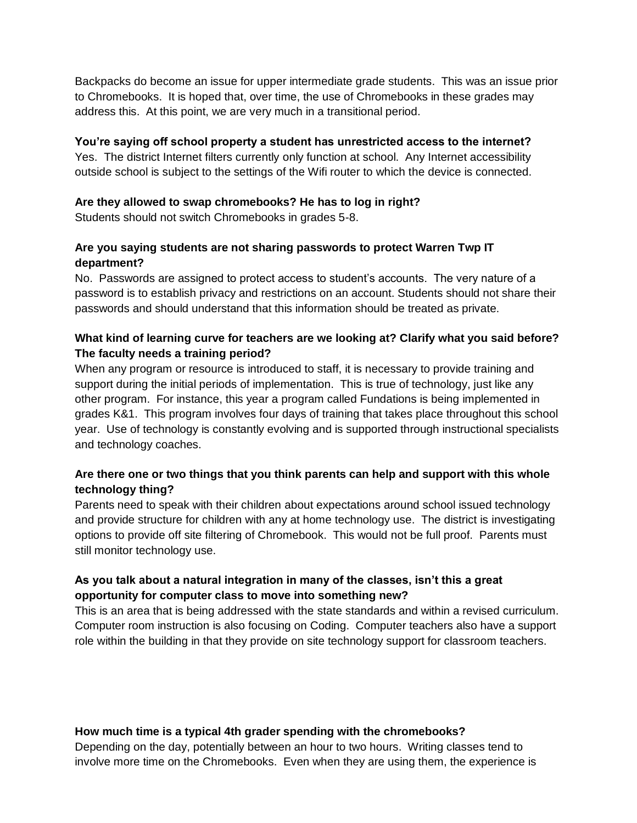Backpacks do become an issue for upper intermediate grade students. This was an issue prior to Chromebooks. It is hoped that, over time, the use of Chromebooks in these grades may address this. At this point, we are very much in a transitional period.

### **You're saying off school property a student has unrestricted access to the internet?**

Yes. The district Internet filters currently only function at school. Any Internet accessibility outside school is subject to the settings of the Wifi router to which the device is connected.

### **Are they allowed to swap chromebooks? He has to log in right?**

Students should not switch Chromebooks in grades 5-8.

## **Are you saying students are not sharing passwords to protect Warren Twp IT department?**

No. Passwords are assigned to protect access to student's accounts. The very nature of a password is to establish privacy and restrictions on an account. Students should not share their passwords and should understand that this information should be treated as private.

# **What kind of learning curve for teachers are we looking at? Clarify what you said before? The faculty needs a training period?**

When any program or resource is introduced to staff, it is necessary to provide training and support during the initial periods of implementation. This is true of technology, just like any other program. For instance, this year a program called Fundations is being implemented in grades K&1. This program involves four days of training that takes place throughout this school year. Use of technology is constantly evolving and is supported through instructional specialists and technology coaches.

# **Are there one or two things that you think parents can help and support with this whole technology thing?**

Parents need to speak with their children about expectations around school issued technology and provide structure for children with any at home technology use. The district is investigating options to provide off site filtering of Chromebook. This would not be full proof. Parents must still monitor technology use.

# **As you talk about a natural integration in many of the classes, isn't this a great opportunity for computer class to move into something new?**

This is an area that is being addressed with the state standards and within a revised curriculum. Computer room instruction is also focusing on Coding. Computer teachers also have a support role within the building in that they provide on site technology support for classroom teachers.

# **How much time is a typical 4th grader spending with the chromebooks?**

Depending on the day, potentially between an hour to two hours. Writing classes tend to involve more time on the Chromebooks. Even when they are using them, the experience is